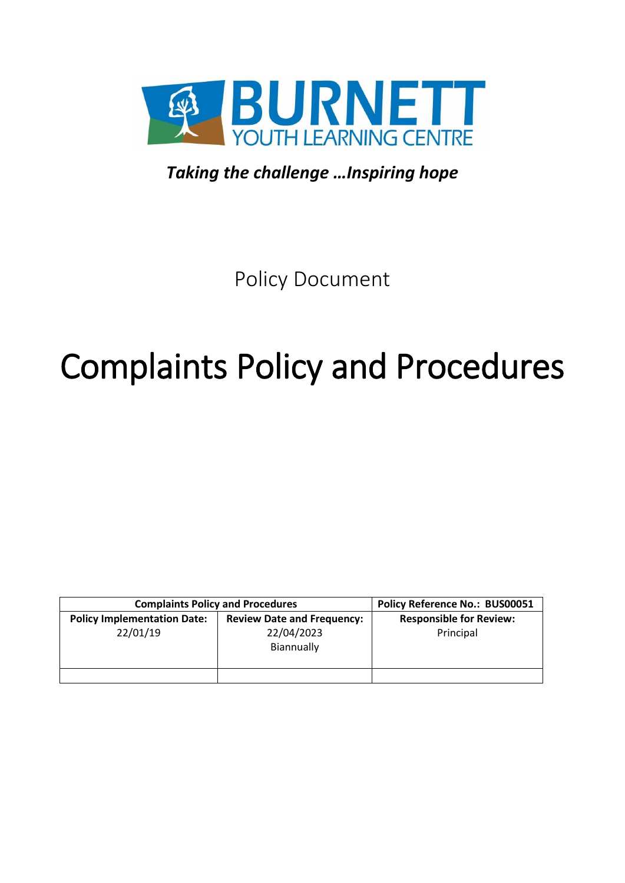

*Taking the challenge …Inspiring hope*

Policy Document

# Complaints Policy and Procedures

| <b>Complaints Policy and Procedures</b>        |                                                               | Policy Reference No.: BUS00051              |
|------------------------------------------------|---------------------------------------------------------------|---------------------------------------------|
| <b>Policy Implementation Date:</b><br>22/01/19 | <b>Review Date and Frequency:</b><br>22/04/2023<br>Biannually | <b>Responsible for Review:</b><br>Principal |
|                                                |                                                               |                                             |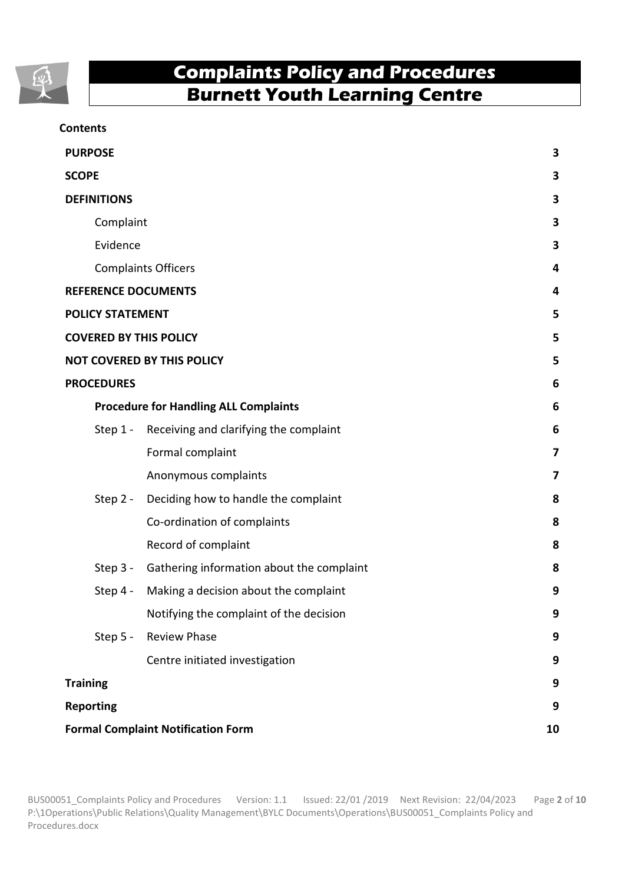

#### **Contents**

| <b>PURPOSE</b>                               |                                                    |                         |
|----------------------------------------------|----------------------------------------------------|-------------------------|
| <b>SCOPE</b>                                 |                                                    |                         |
| <b>DEFINITIONS</b>                           |                                                    |                         |
| Complaint                                    | 3                                                  |                         |
| Evidence                                     | $\overline{\mathbf{3}}$                            |                         |
| <b>Complaints Officers</b>                   | 4                                                  |                         |
| <b>REFERENCE DOCUMENTS</b>                   |                                                    |                         |
| <b>POLICY STATEMENT</b>                      |                                                    | 5                       |
| <b>COVERED BY THIS POLICY</b>                |                                                    | 5                       |
| <b>NOT COVERED BY THIS POLICY</b>            |                                                    | 5                       |
| <b>PROCEDURES</b>                            |                                                    | 6                       |
| <b>Procedure for Handling ALL Complaints</b> |                                                    | 6                       |
| Step 1 -                                     | Receiving and clarifying the complaint             | 6                       |
|                                              | Formal complaint                                   | 7                       |
|                                              | Anonymous complaints                               | $\overline{\mathbf{z}}$ |
| Step 2 -                                     | Deciding how to handle the complaint               | 8                       |
|                                              | Co-ordination of complaints                        | 8                       |
|                                              | Record of complaint                                | 8                       |
|                                              | Step 3 - Gathering information about the complaint | 8                       |
| Step 4 -                                     | Making a decision about the complaint              | 9                       |
|                                              | Notifying the complaint of the decision            | 9                       |
|                                              | Step 5 - Review Phase                              | 9                       |
|                                              | Centre initiated investigation                     | 9                       |
| <b>Training</b>                              |                                                    | 9                       |
| <b>Reporting</b>                             |                                                    | 9                       |
| <b>Formal Complaint Notification Form</b>    |                                                    | 10                      |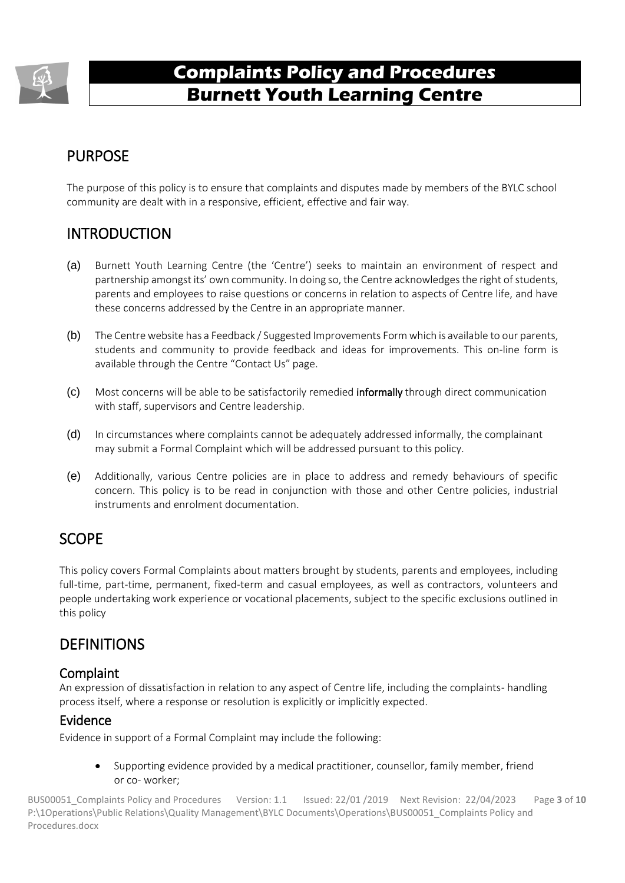

# PURPOSE

The purpose of this policy is to ensure that complaints and disputes made by members of the BYLC school community are dealt with in a responsive, efficient, effective and fair way.

# INTRODUCTION

- (a) Burnett Youth Learning Centre (the 'Centre') seeks to maintain an environment of respect and partnership amongst its' own community. In doing so, the Centre acknowledges the right of students, parents and employees to raise questions or concerns in relation to aspects of Centre life, and have these concerns addressed by the Centre in an appropriate manner.
- (b) The Centre website has a Feedback / Suggested Improvements Form which is available to our parents, students and community to provide feedback and ideas for improvements. This on-line form is available through the Centre "Contact Us" page.
- (c) Most concerns will be able to be satisfactorily remedied informally through direct communication with staff, supervisors and Centre leadership.
- (d) In circumstances where complaints cannot be adequately addressed informally, the complainant may submit a Formal Complaint which will be addressed pursuant to this policy.
- (e) Additionally, various Centre policies are in place to address and remedy behaviours of specific concern. This policy is to be read in conjunction with those and other Centre policies, industrial instruments and enrolment documentation.

# SCOPE

This policy covers Formal Complaints about matters brought by students, parents and employees, including full-time, part-time, permanent, fixed-term and casual employees, as well as contractors, volunteers and people undertaking work experience or vocational placements, subject to the specific exclusions outlined in this policy

## **DEFINITIONS**

#### Complaint

An expression of dissatisfaction in relation to any aspect of Centre life, including the complaints- handling process itself, where a response or resolution is explicitly or implicitly expected.

#### Evidence

Evidence in support of a Formal Complaint may include the following:

• Supporting evidence provided by a medical practitioner, counsellor, family member, friend or co- worker;

BUS00051\_Complaints Policy and Procedures Version: 1.1 Issued: 22/01 /2019 Next Revision: 22/04/2023 Page **3** of **10** P:\1Operations\Public Relations\Quality Management\BYLC Documents\Operations\BUS00051\_Complaints Policy and Procedures.docx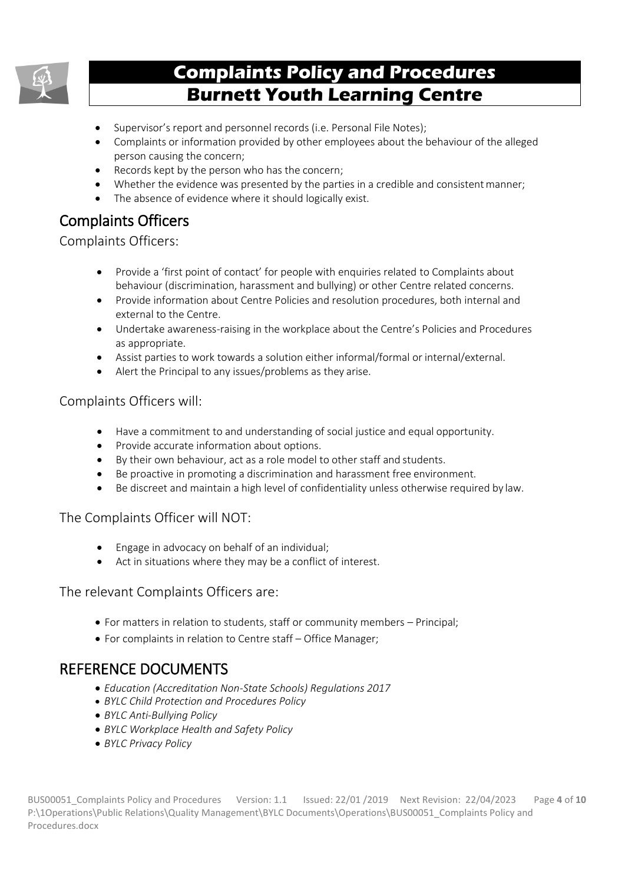

- Supervisor's report and personnel records (i.e. Personal File Notes);
- Complaints or information provided by other employees about the behaviour of the alleged person causing the concern;
- Records kept by the person who has the concern;
- Whether the evidence was presented by the parties in a credible and consistent manner;
- The absence of evidence where it should logically exist.

# Complaints Officers

Complaints Officers:

- Provide a 'first point of contact' for people with enquiries related to Complaints about behaviour (discrimination, harassment and bullying) or other Centre related concerns.
- Provide information about Centre Policies and resolution procedures, both internal and external to the Centre.
- Undertake awareness-raising in the workplace about the Centre's Policies and Procedures as appropriate.
- Assist parties to work towards a solution either informal/formal or internal/external.
- Alert the Principal to any issues/problems as they arise.

#### Complaints Officers will:

- Have a commitment to and understanding of social justice and equal opportunity.
- Provide accurate information about options.
- By their own behaviour, act as a role model to other staff and students.
- Be proactive in promoting a discrimination and harassment free environment.
- Be discreet and maintain a high level of confidentiality unless otherwise required by law.

#### The Complaints Officer will NOT:

- Engage in advocacy on behalf of an individual;
- Act in situations where they may be a conflict of interest.

#### The relevant Complaints Officers are:

- For matters in relation to students, staff or community members Principal;
- For complaints in relation to Centre staff Office Manager;

## REFERENCE DOCUMENTS

- *Education (Accreditation Non-State Schools) Regulations 2017*
- *BYLC Child Protection and Procedures Policy*
- *BYLC Anti-Bullying Policy*
- *BYLC Workplace Health and Safety Policy*
- *BYLC Privacy Policy*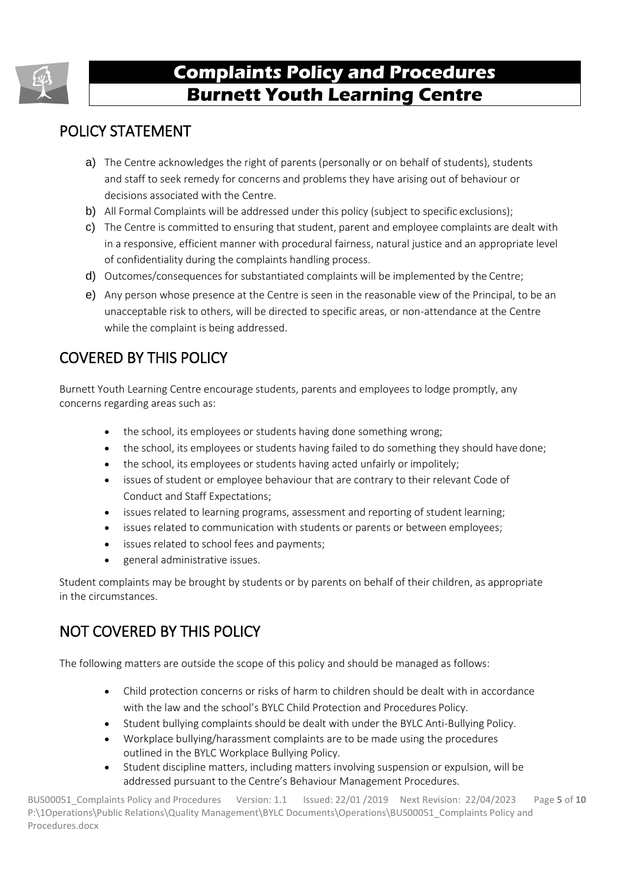

# POLICY STATEMENT

- a) The Centre acknowledges the right of parents (personally or on behalf of students), students and staff to seek remedy for concerns and problems they have arising out of behaviour or decisions associated with the Centre.
- b) All Formal Complaints will be addressed under this policy (subject to specific exclusions);
- c) The Centre is committed to ensuring that student, parent and employee complaints are dealt with in a responsive, efficient manner with procedural fairness, natural justice and an appropriate level of confidentiality during the complaints handling process.
- d) Outcomes/consequences for substantiated complaints will be implemented by the Centre;
- e) Any person whose presence at the Centre is seen in the reasonable view of the Principal, to be an unacceptable risk to others, will be directed to specific areas, or non-attendance at the Centre while the complaint is being addressed.

# COVERED BY THIS POLICY

Burnett Youth Learning Centre encourage students, parents and employees to lodge promptly, any concerns regarding areas such as:

- the school, its employees or students having done something wrong;
- the school, its employees or students having failed to do something they should have done;
- the school, its employees or students having acted unfairly or impolitely;
- issues of student or employee behaviour that are contrary to their relevant Code of Conduct and Staff Expectations;
- issues related to learning programs, assessment and reporting of student learning;
- issues related to communication with students or parents or between employees;
- issues related to school fees and payments;
- general administrative issues.

Student complaints may be brought by students or by parents on behalf of their children, as appropriate in the circumstances.

# NOT COVERED BY THIS POLICY

The following matters are outside the scope of this policy and should be managed as follows:

- Child protection concerns or risks of harm to children should be dealt with in accordance with the law and the school's BYLC Child Protection and Procedures Policy.
- Student bullying complaints should be dealt with under the BYLC Anti-Bullying Policy.
- Workplace bullying/harassment complaints are to be made using the procedures outlined in the BYLC Workplace Bullying Policy.
- Student discipline matters, including matters involving suspension or expulsion, will be addressed pursuant to the Centre's Behaviour Management Procedures.

BUS00051\_Complaints Policy and Procedures Version: 1.1 Issued: 22/01 /2019 Next Revision: 22/04/2023 Page **5** of **10** P:\1Operations\Public Relations\Quality Management\BYLC Documents\Operations\BUS00051\_Complaints Policy and Procedures.docx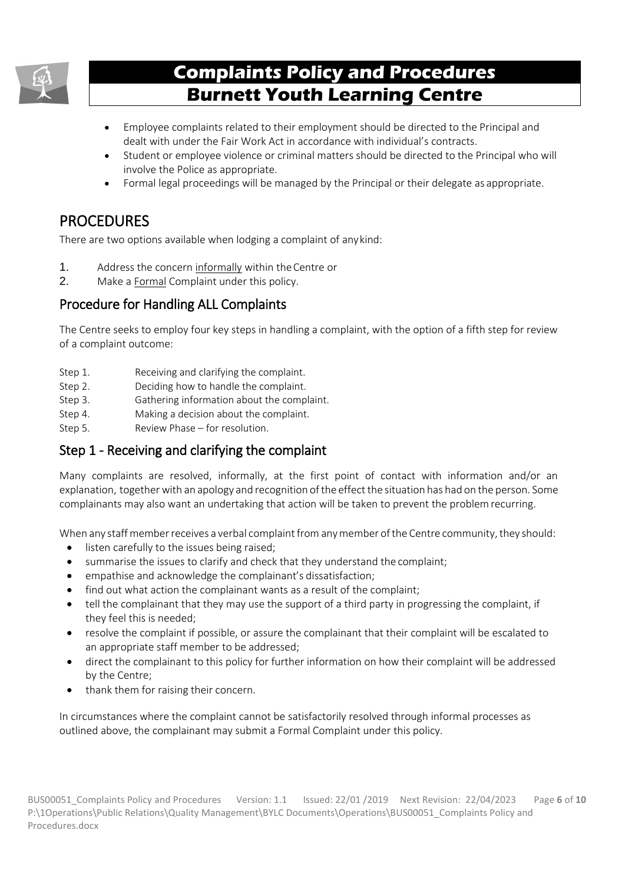

- Employee complaints related to their employment should be directed to the Principal and dealt with under the Fair Work Act in accordance with individual's contracts.
- Student or employee violence or criminal matters should be directed to the Principal who will involve the Police as appropriate.
- Formal legal proceedings will be managed by the Principal or their delegate as appropriate.

## PROCEDURES

There are two options available when lodging a complaint of anykind:

- 1. Address the concern informally within theCentre or
- 2. Make a Formal Complaint under this policy.

## Procedure for Handling ALL Complaints

The Centre seeks to employ four key steps in handling a complaint, with the option of a fifth step for review of a complaint outcome:

- Step 1. Receiving and clarifying the complaint.
- Step 2. Deciding how to handle the complaint.
- Step 3. Gathering information about the complaint.
- Step 4. Making a decision about the complaint.
- Step 5. Review Phase for resolution.

## Step 1 - Receiving and clarifying the complaint

Many complaints are resolved, informally, at the first point of contact with information and/or an explanation, together with an apology and recognition of the effect the situation has had on the person. Some complainants may also want an undertaking that action will be taken to prevent the problemrecurring.

When any staff member receives a verbal complaint from any member of the Centre community, they should:

- listen carefully to the issues being raised;
- summarise the issues to clarify and check that they understand the complaint:
- empathise and acknowledge the complainant's dissatisfaction;
- find out what action the complainant wants as a result of the complaint;
- tell the complainant that they may use the support of a third party in progressing the complaint, if they feel this is needed;
- resolve the complaint if possible, or assure the complainant that their complaint will be escalated to an appropriate staff member to be addressed;
- direct the complainant to this policy for further information on how their complaint will be addressed by the Centre;
- thank them for raising their concern.

In circumstances where the complaint cannot be satisfactorily resolved through informal processes as outlined above, the complainant may submit a Formal Complaint under this policy.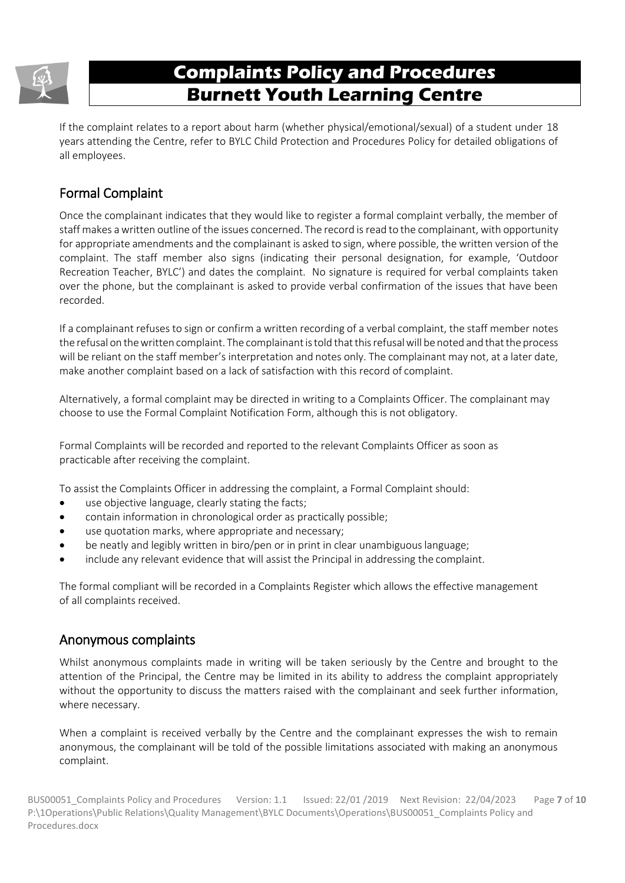

If the complaint relates to a report about harm (whether physical/emotional/sexual) of a student under 18 years attending the Centre, refer to BYLC Child Protection and Procedures Policy for detailed obligations of all employees.

## Formal Complaint

Once the complainant indicates that they would like to register a formal complaint verbally, the member of staff makes awritten outline of the issues concerned. The record isread to the complainant, with opportunity for appropriate amendments and the complainant is asked to sign, where possible, the written version of the complaint. The staff member also signs (indicating their personal designation, for example, 'Outdoor Recreation Teacher, BYLC') and dates the complaint. No signature is required for verbal complaints taken over the phone, but the complainant is asked to provide verbal confirmation of the issues that have been recorded.

If a complainant refuses to sign or confirm a written recording of a verbal complaint, the staff member notes the refusal on thewritten complaint. The complainantistold thatthisrefusalwill benoted and thatthe process will be reliant on the staff member's interpretation and notes only. The complainant may not, at a later date, make another complaint based on a lack of satisfaction with this record of complaint.

Alternatively, a formal complaint may be directed in writing to a Complaints Officer. The complainant may choose to use the Formal Complaint Notification Form, although this is not obligatory.

Formal Complaints will be recorded and reported to the relevant Complaints Officer as soon as practicable after receiving the complaint.

To assist the Complaints Officer in addressing the complaint, a Formal Complaint should:

- use objective language, clearly stating the facts;
- contain information in chronological order as practically possible;
- use quotation marks, where appropriate and necessary;
- be neatly and legibly written in biro/pen or in print in clear unambiguous language;
- include any relevant evidence that will assist the Principal in addressing the complaint.

The formal compliant will be recorded in a Complaints Register which allows the effective management of all complaints received.

#### Anonymous complaints

Whilst anonymous complaints made in writing will be taken seriously by the Centre and brought to the attention of the Principal, the Centre may be limited in its ability to address the complaint appropriately without the opportunity to discuss the matters raised with the complainant and seek further information, where necessary.

When a complaint is received verbally by the Centre and the complainant expresses the wish to remain anonymous, the complainant will be told of the possible limitations associated with making an anonymous complaint.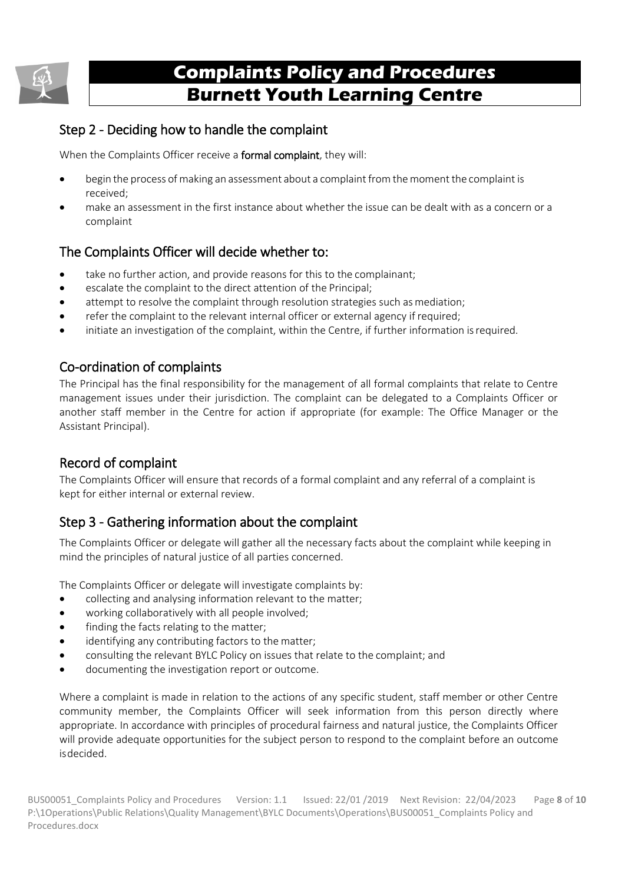

## Step 2 - Deciding how to handle the complaint

When the Complaints Officer receive a **formal complaint**, they will:

- begin the process of making an assessment about a complaint from the moment the complaint is received;
- make an assessment in the first instance about whether the issue can be dealt with as a concern or a complaint

## The Complaints Officer will decide whether to:

- take no further action, and provide reasons for this to the complainant:
- escalate the complaint to the direct attention of the Principal;
- attempt to resolve the complaint through resolution strategies such as mediation;
- refer the complaint to the relevant internal officer or external agency if required;
- initiate an investigation of the complaint, within the Centre, if further information is required.

#### Co-ordination of complaints

The Principal has the final responsibility for the management of all formal complaints that relate to Centre management issues under their jurisdiction. The complaint can be delegated to a Complaints Officer or another staff member in the Centre for action if appropriate (for example: The Office Manager or the Assistant Principal).

#### Record of complaint

The Complaints Officer will ensure that records of a formal complaint and any referral of a complaint is kept for either internal or external review.

## Step 3 - Gathering information about the complaint

The Complaints Officer or delegate will gather all the necessary facts about the complaint while keeping in mind the principles of natural justice of all parties concerned.

The Complaints Officer or delegate will investigate complaints by:

- collecting and analysing information relevant to the matter;
- working collaboratively with all people involved;
- finding the facts relating to the matter:
- identifying any contributing factors to the matter:
- consulting the relevant BYLC Policy on issues that relate to the complaint; and
- documenting the investigation report or outcome.

Where a complaint is made in relation to the actions of any specific student, staff member or other Centre community member, the Complaints Officer will seek information from this person directly where appropriate. In accordance with principles of procedural fairness and natural justice, the Complaints Officer will provide adequate opportunities for the subject person to respond to the complaint before an outcome isdecided.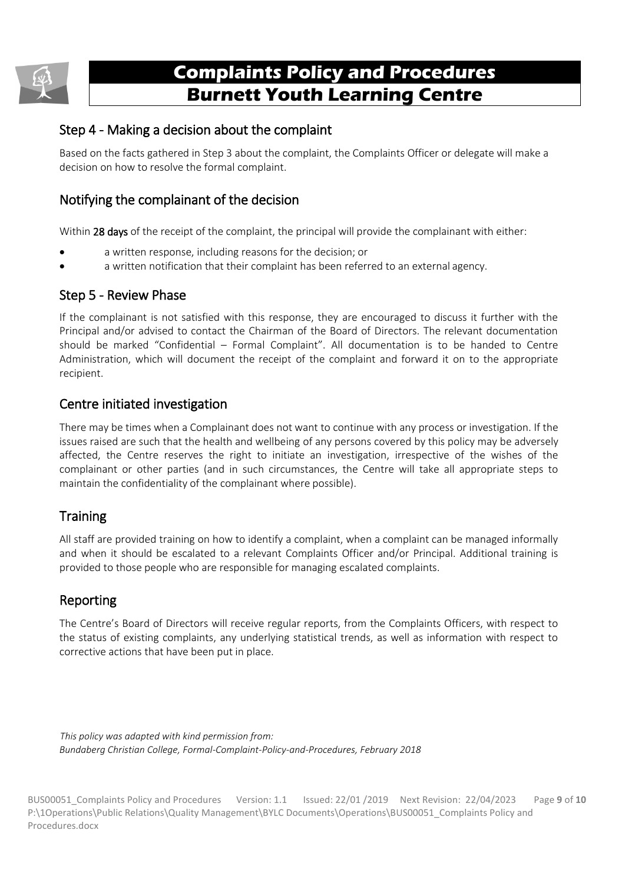

### Step 4 - Making a decision about the complaint

Based on the facts gathered in Step 3 about the complaint, the Complaints Officer or delegate will make a decision on how to resolve the formal complaint.

## Notifying the complainant of the decision

Within 28 days of the receipt of the complaint, the principal will provide the complainant with either:

- a written response, including reasons for the decision; or
- a written notification that their complaint has been referred to an external agency.

#### Step 5 - Review Phase

If the complainant is not satisfied with this response, they are encouraged to discuss it further with the Principal and/or advised to contact the Chairman of the Board of Directors. The relevant documentation should be marked "Confidential – Formal Complaint". All documentation is to be handed to Centre Administration, which will document the receipt of the complaint and forward it on to the appropriate recipient.

#### Centre initiated investigation

There may be times when a Complainant does not want to continue with any process or investigation. If the issues raised are such that the health and wellbeing of any persons covered by this policy may be adversely affected, the Centre reserves the right to initiate an investigation, irrespective of the wishes of the complainant or other parties (and in such circumstances, the Centre will take all appropriate steps to maintain the confidentiality of the complainant where possible).

#### **Training**

All staff are provided training on how to identify a complaint, when a complaint can be managed informally and when it should be escalated to a relevant Complaints Officer and/or Principal. Additional training is provided to those people who are responsible for managing escalated complaints.

#### Reporting

The Centre's Board of Directors will receive regular reports, from the Complaints Officers, with respect to the status of existing complaints, any underlying statistical trends, as well as information with respect to corrective actions that have been put in place.

*This policy was adapted with kind permission from: Bundaberg Christian College, Formal-Complaint-Policy-and-Procedures, February 2018*

BUS00051\_Complaints Policy and Procedures Version: 1.1 Issued: 22/01 /2019 Next Revision: 22/04/2023 Page **9** of **10** P:\1Operations\Public Relations\Quality Management\BYLC Documents\Operations\BUS00051\_Complaints Policy and Procedures.docx